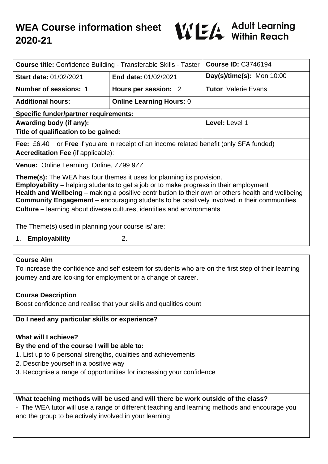

| <b>Course title: Confidence Building - Transferable Skills - Taster</b>                                                                                                                                                                                                                                                                                                                                                                                                 |                                 | <b>Course ID: C3746194</b>   |
|-------------------------------------------------------------------------------------------------------------------------------------------------------------------------------------------------------------------------------------------------------------------------------------------------------------------------------------------------------------------------------------------------------------------------------------------------------------------------|---------------------------------|------------------------------|
| <b>Start date: 01/02/2021</b>                                                                                                                                                                                                                                                                                                                                                                                                                                           | <b>End date: 01/02/2021</b>     | $Day(s)/time(s)$ : Mon 10:00 |
| <b>Number of sessions: 1</b>                                                                                                                                                                                                                                                                                                                                                                                                                                            | Hours per session: 2            | <b>Tutor</b> Valerie Evans   |
| <b>Additional hours:</b>                                                                                                                                                                                                                                                                                                                                                                                                                                                | <b>Online Learning Hours: 0</b> |                              |
| <b>Specific funder/partner requirements:</b>                                                                                                                                                                                                                                                                                                                                                                                                                            |                                 |                              |
| Awarding body (if any):                                                                                                                                                                                                                                                                                                                                                                                                                                                 |                                 | Level: Level 1               |
| Title of qualification to be gained:                                                                                                                                                                                                                                                                                                                                                                                                                                    |                                 |                              |
| <b>Fee:</b> £6.40 or <b>Free</b> if you are in receipt of an income related benefit (only SFA funded)                                                                                                                                                                                                                                                                                                                                                                   |                                 |                              |
| <b>Accreditation Fee (if applicable):</b>                                                                                                                                                                                                                                                                                                                                                                                                                               |                                 |                              |
| Venue: Online Learning, Online, ZZ99 9ZZ                                                                                                                                                                                                                                                                                                                                                                                                                                |                                 |                              |
| <b>Theme(s):</b> The WEA has four themes it uses for planning its provision.<br><b>Employability</b> – helping students to get a job or to make progress in their employment<br>Health and Wellbeing – making a positive contribution to their own or others health and wellbeing<br><b>Community Engagement</b> – encouraging students to be positively involved in their communities<br><b>Culture</b> – learning about diverse cultures, identities and environments |                                 |                              |
| The Theme(s) used in planning your course is/are:                                                                                                                                                                                                                                                                                                                                                                                                                       |                                 |                              |
| 1. Employability                                                                                                                                                                                                                                                                                                                                                                                                                                                        | 2.                              |                              |

#### **Course Aim**

To increase the confidence and self esteem for students who are on the first step of their learning journey and are looking for employment or a change of career.

#### **Course Description**

Boost confidence and realise that your skills and qualities count

## **Do I need any particular skills or experience?**

## **What will I achieve?**

#### **By the end of the course I will be able to:**

- 1. List up to 6 personal strengths, qualities and achievements
- 2. Describe yourself in a positive way
- 3. Recognise a range of opportunities for increasing your confidence

#### **What teaching methods will be used and will there be work outside of the class?**

- The WEA tutor will use a range of different teaching and learning methods and encourage you and the group to be actively involved in your learning